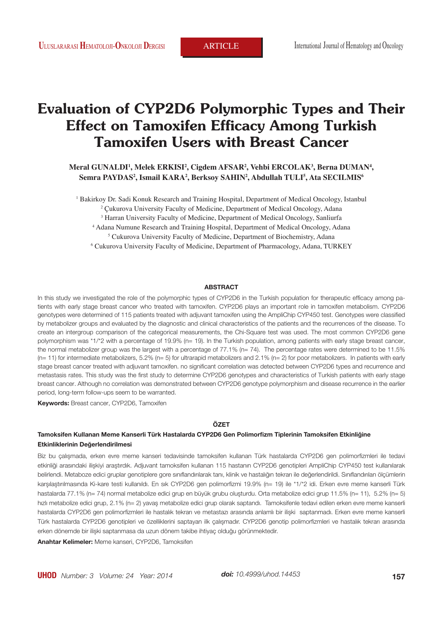# **Evaluation of CYP2D6 Polymorphic Types and Their Effect on Tamoxifen Efficacy Among Turkish Tamoxifen Users with Breast Cancer**

 $M$ eral GUNALDI<sup>1</sup>, Melek ERKISI<sup>2</sup>, Cigdem AFSAR<sup>2</sup>, Vehbi ERCOLAK<sup>3</sup>, Berna DUMAN<sup>4</sup>, **Semra PAYDAS2 , Ismail KARA2 , Berksoy SAHIN2 , Abdullah TULI5 , Ata SECILMIS6**

1 Bakirkoy Dr. Sadi Konuk Research and Training Hospital, Department of Medical Oncology, Istanbul

2 Çukurova University Faculty of Medicine, Department of Medical Oncology, Adana

3 Harran University Faculty of Medicine, Department of Medical Oncology, Sanliurfa

4 Adana Numune Research and Training Hospital, Department of Medical Oncology, Adana

5 Cukurova University Faculty of Medicine, Department of Biochemistry, Adana

6 Cukurova University Faculty of Medicine, Department of Pharmacology, Adana, TURKEY

#### **ABSTRACT**

In this study we investigated the role of the polymorphic types of CYP2D6 in the Turkish population for therapeutic efficacy among patients with early stage breast cancer who treated with tamoxifen. CYP2D6 plays an important role in tamoxifen metabolism. CYP2D6 genotypes were determined of 115 patients treated with adjuvant tamoxifen using the AmpliChip CYP450 test. Genotypes were classified by metabolizer groups and evaluated by the diagnostic and clinical characteristics of the patients and the recurrences of the disease. To create an intergroup comparison of the categorical measurements, the Chi-Square test was used. The most common CYP2D6 gene polymorphism was \*1/\*2 with a percentage of 19.9% (n= 19). In the Turkish population, among patients with early stage breast cancer, the normal metabolizer group was the largest with a percentage of 77.1% (n= 74). The percentage rates were determined to be 11.5% (n= 11) for intermediate metabolizers, 5.2% (n= 5) for ultrarapid metabolizers and 2.1% (n= 2) for poor metabolizers. In patients with early stage breast cancer treated with adjuvant tamoxifen. no significant correlation was detected between CYP2D6 types and recurrence and metastasis rates. This study was the first study to determine CYP2D6 genotypes and characteristics of Turkish patients with early stage breast cancer. Although no correlation was demonstrated between CYP2D6 genotype polymorphism and disease recurrence in the earlier period, long-term follow-ups seem to be warranted.

**Keywords:** Breast cancer, CYP2D6, Tamoxifen

#### **ÖZET**

## **Tamoksifen Kullanan Meme Kanserli Türk Hastalarda CYP2D6 Gen Polimorfizm Tiplerinin Tamoksifen Etkinliğine Etkinliklerinin Değerlendirilmesi**

Biz bu çalışmada, erken evre meme kanseri tedavisinde tamoksifen kullanan Türk hastalarda CYP2D6 gen polimorfizmleri ile tedavi etkinliği arasındaki ilişkiyi araştırdık. Adjuvant tamoksifen kullanan 115 hastanın CYP2D6 genotipleri AmpliChip CYP450 test kullanılarak belirlendi. Metaboze edici gruplar genotiplere gore sınıflandırılarak tanı, klinik ve hastalığın tekrarı ile değerlendirildi. Sınıflandırılan ölçümlerin karşılaştırılmasında Ki-kare testi kullanıldı. En sık CYP2D6 gen polimorfizmi 19.9% (n= 19) ile \*1/\*2 idi. Erken evre meme kanserli Türk hastalarda 77.1% (n= 74) normal metabolize edici grup en büyük grubu oluşturdu. Orta metabolize edici grup 11.5% (n= 11), 5.2% (n= 5) hızlı metabolize edici grup, 2.1% (n= 2) yavaş metabolize edici grup olarak saptandı. Tamoksifenle tedavi edilen erken evre meme kanserli hastalarda CYP2D6 gen polimorfizmleri ile hastalık tekrarı ve metastazı arasında anlamlı bir ilişki saptanmadı. Erken evre meme kanserli Türk hastalarda CYP2D6 genotipleri ve özelliklerini saptayan ilk çalışmadır. CYP2D6 genotip polimorfizmleri ve hastalık tekrarı arasında erken dönemde bir ilişki saptanmasa da uzun dönem takibe ihtiyaç olduğu görünmektedir.

**Anahtar Kelimeler:** Meme kanseri, CYP2D6, Tamoksifen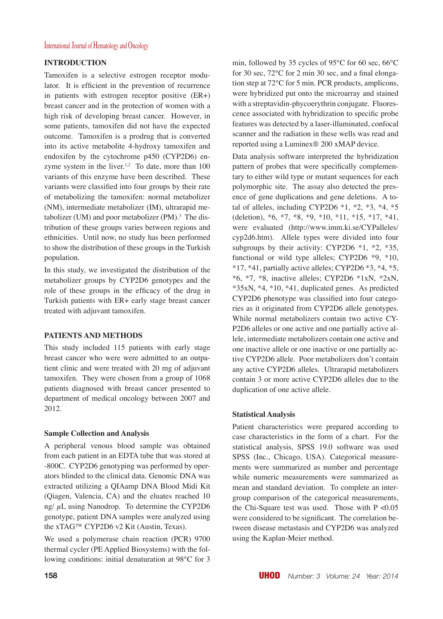## International Journal of Hematology and Oncology

## **INTRODUCTION**

Tamoxifen is a selective estrogen receptor modulator. It is efficient in the prevention of recurrence in patients with estrogen receptor positive (ER+) breast cancer and in the protection of women with a high risk of developing breast cancer. However, in some patients, tamoxifen did not have the expected outcome. Tamoxifen is a prodrug that is converted into its active metabolite 4-hydroxy tamoxifen and endoxifen by the cytochrome p450 (CYP2D6) enzyme system in the liver.<sup>1,2</sup> To date, more than  $100$ variants of this enzyme have been described. These variants were classified into four groups by their rate of metabolizing the tamoxifen: normal metabolizer (NM), intermediate metabolizer (IM), ultrarapid metabolizer (UM) and poor metabolizer  $(PM)$ .<sup>3</sup> The distribution of these groups varies between regions and ethnicities. Until now, no study has been performed to show the distribution of these groups in the Turkish population.

In this study, we investigated the distribution of the metabolizer groups by CYP2D6 genotypes and the role of these groups in the efficacy of the drug in Turkish patients with ER+ early stage breast cancer treated with adjuvant tamoxifen.

# **PATIENTS AND METHODS**

This study included 115 patients with early stage breast cancer who were were admitted to an outpatient clinic and were treated with 20 mg of adjuvant tamoxifen. They were chosen from a group of 1068 patients diagnosed with breast cancer presented to department of medical oncology between 2007 and 2012.

### **Sample Collection and Analysis**

A peripheral venous blood sample was obtained from each patient in an EDTA tube that was stored at -800C. CYP2D6 genotyping was performed by operators blinded to the clinical data. Genomic DNA was extracted utilizing a QIAamp DNA Blood Midi Kit (Qiagen, Valencia, CA) and the eluates reached 10 ng/ $\mu$ L using Nanodrop. To determine the CYP2D6 genotype, patient DNA samples were analyzed using the xTAG™ CYP2D6 v2 Kit (Austin, Texas).

We used a polymerase chain reaction (PCR) 9700 thermal cycler (PE Applied Biosystems) with the following conditions: initial denaturation at 98°C for 3 min, followed by 35 cycles of 95°C for 60 sec, 66°C for 30 sec, 72°C for 2 min 30 sec, and a final elongation step at 72°C for 5 min. PCR products, amplicons, were hybridized put onto the microarray and stained with a streptavidin-phycoerythrin conjugate. Fluorescence associated with hybridization to specific probe features was detected by a laser-illuminated, confocal scanner and the radiation in these wells was read and reported using a Luminex® 200 xMAP device.

Data analysis software interpreted the hybridization pattern of probes that were specifically complementary to either wild type or mutant sequences for each polymorphic site. The assay also detected the presence of gene duplications and gene deletions. A total of alleles, including CYP2D6  $*1$ ,  $*2$ ,  $*3$ ,  $*4$ ,  $*5$ (deletion), \*6, \*7, \*8, \*9, \*10, \*11, \*15, \*17, \*41, were evaluated (http://www.imm.ki.se/CYPalleles/ cyp2d6.htm). Allele types were divided into four subgroups by their activity: CYP2D6 \*1, \*2, \*35, functional or wild type alleles; CYP2D6 \*9, \*10, \*17, \*41, partially active alleles; CYP2D6 \*3, \*4, \*5,  $*6, *7, *8$ , inactive alleles; CYP2D6  $*1xN, *2xN$ , \*35xN, \*4, \*10, \*41, duplicated genes. As predicted CYP2D6 phenotype was classified into four categories as it originated from CYP2D6 allele genotypes. While normal metabolizers contain two active CY-P2D6 alleles or one active and one partially active allele, intermediate metabolizers contain one active and one inactive allele or one inactive or one partially active CYP2D6 allele. Poor metabolizers don't contain any active CYP2D6 alleles. Ultrarapid metabolizers contain 3 or more active CYP2D6 alleles due to the duplication of one active allele.

### **Statistical Analysis**

Patient characteristics were prepared according to case characteristics in the form of a chart. For the statistical analysis, SPSS 19.0 software was used SPSS (Inc., Chicago, USA). Categorical measurements were summarized as number and percentage while numeric measurements were summarized as mean and standard deviation. To complete an intergroup comparison of the categorical measurements, the Chi-Square test was used. Those with  $P < 0.05$ were considered to be significant. The correlation between disease metastasis and CYP2D6 was analyzed using the Kaplan-Meier method.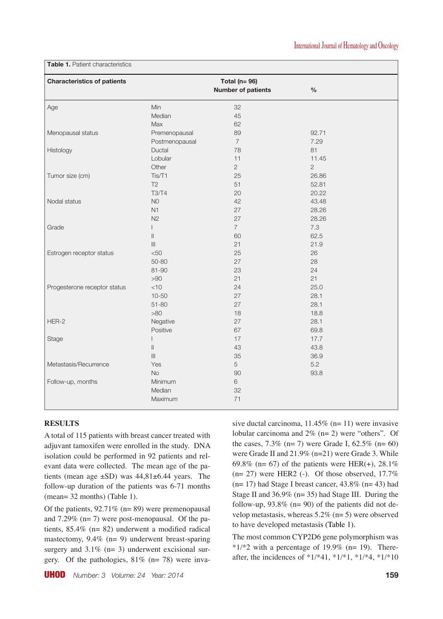| <b>Characteristics of patients</b> |                   | Total ( $n = 96$ )<br><b>Number of patients</b> | $\%$       |  |
|------------------------------------|-------------------|-------------------------------------------------|------------|--|
| Age                                | Min               | 32                                              |            |  |
|                                    | Median            | 45                                              |            |  |
|                                    | Max               | 62                                              |            |  |
| Menopausal status                  | Premenopausal     | 89                                              | 92.71      |  |
|                                    | Postmenopausal    | $\overline{7}$                                  | 7.29       |  |
| Histology                          | Ductal            | 78                                              | 81         |  |
|                                    | Lobular           | 11                                              | 11.45      |  |
|                                    | Other             | $\overline{c}$                                  | $\sqrt{2}$ |  |
| Tumor size (cm)                    | Tis/T1            | 25                                              | 26.86      |  |
|                                    | T <sub>2</sub>    | 51                                              | 52.81      |  |
|                                    | <b>T3/T4</b>      | 20                                              | 20.22      |  |
| Nodal status                       | N <sub>0</sub>    | 42                                              | 43.48      |  |
|                                    | N1                | 27                                              | 28.26      |  |
|                                    | N <sub>2</sub>    | 27                                              | 28.26      |  |
| Grade                              |                   | $\overline{7}$                                  | 7.3        |  |
|                                    | $\parallel$       | 60                                              | 62.5       |  |
|                                    | $\vert\vert\vert$ | 21                                              | 21.9       |  |
| Estrogen receptor status           | < 50              | 25                                              | 26         |  |
|                                    | $50 - 80$         | 27                                              | 28         |  |
|                                    | 81-90             | 23                                              | 24         |  |
|                                    | >90               | 21                                              | 21         |  |
| Progesterone receptor status       | $<$ 10            | 24                                              | 25.0       |  |
|                                    | $10 - 50$         | 27                                              | 28.1       |  |
|                                    | $51 - 80$         | 27                                              | 28.1       |  |
|                                    | $>80$             | 18                                              | 18.8       |  |
| HER-2                              | Negative          | 27                                              | 28.1       |  |
|                                    | Positive          | 67                                              | 69.8       |  |
| Stage                              |                   | 17                                              | 17.7       |  |
|                                    | $\parallel$       | 43                                              | 43.8       |  |
|                                    | III               | 35                                              | 36.9       |  |
| Metastasis/Recurrence              | Yes               | 5                                               | 5.2        |  |
|                                    | No                | 90                                              | 93.8       |  |
| Follow-up, months                  | Minimum           | 6                                               |            |  |
|                                    | Median            | 32                                              |            |  |
|                                    | Maximum           | 71                                              |            |  |
|                                    |                   |                                                 |            |  |

**Table 1.** Patient characteristics

## **RESULTS**

A total of 115 patients with breast cancer treated with adjuvant tamoxifen were enrolled in the study. DNA isolation could be performed in 92 patients and relevant data were collected. The mean age of the patients (mean age  $\pm$ SD) was 44,81 $\pm$ 6.44 years. The follow-up duration of the patients was 6-71 months (mean= 32 months) (Table 1).

Of the patients,  $92.71\%$  (n= 89) were premenopausal and 7.29% (n= 7) were post-menopausal. Of the patients, 85.4% (n= 82) underwent a modified radical mastectomy, 9.4% (n= 9) underwent breast-sparing surgery and 3.1% (n= 3) underwent excisional surgery. Of the pathologies,  $81\%$  (n= 78) were invasive ductal carcinoma,  $11.45\%$  (n= 11) were invasive lobular carcinoma and 2% (n= 2) were "others". Of the cases,  $7.3\%$  (n= 7) were Grade I,  $62.5\%$  (n= 60) were Grade II and 21.9% (n=21) were Grade 3. While 69.8% (n= 67) of the patients were HER(+),  $28.1\%$  $(n= 27)$  were HER2 (-). Of those observed, 17.7%  $(n= 17)$  had Stage I breast cancer, 43.8%  $(n= 43)$  had Stage II and 36.9% (n= 35) had Stage III. During the follow-up,  $93.8\%$  (n= 90) of the patients did not develop metastasis, whereas 5.2% (n= 5) were observed to have developed metastasis (Table 1).

The most common CYP2D6 gene polymorphism was  $*1/*2$  with a percentage of 19.9% (n= 19). Thereafter, the incidences of \*1/\*41, \*1/\*1, \*1/\*4, \*1/\*10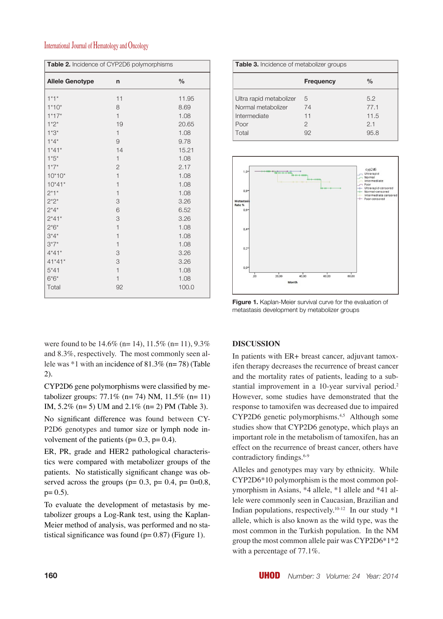# International Journal of Hematology and Oncology

| Table 2. Incidence of CYP2D6 polymorphisms |                |       |  |  |
|--------------------------------------------|----------------|-------|--|--|
| <b>Allele Genotype</b>                     | n              | $\%$  |  |  |
| $1*1*$                                     | 11             | 11.95 |  |  |
| $1*10*$                                    | 8              | 8.69  |  |  |
| $1*17*$                                    | $\mathbf{1}$   | 1.08  |  |  |
| $1*2*$                                     | 19             | 20.65 |  |  |
| $1*3*$                                     | $\mathbf{1}$   | 1.08  |  |  |
| $1*4*$                                     | 9              | 9.78  |  |  |
| $1*41*$                                    | 14             | 15.21 |  |  |
| $1*5*$                                     | $\mathbf{1}$   | 1.08  |  |  |
| $1*7*$                                     | 2              | 2.17  |  |  |
| $10*10*$                                   | $\overline{1}$ | 1.08  |  |  |
| $10*41*$                                   | $\mathbf{1}$   | 1.08  |  |  |
| $2*1*$                                     | $\mathbf{1}$   | 1.08  |  |  |
| $2^*2^*$                                   | 3              | 3.26  |  |  |
| $2*4*$                                     | 6              | 6.52  |  |  |
| $2*41*$                                    | 3              | 3.26  |  |  |
| $2*6*$                                     | $\mathbf{1}$   | 1.08  |  |  |
| $3*4*$                                     | $\mathbf{1}$   | 1.08  |  |  |
| $3*7*$                                     | $\mathbf{1}$   | 1.08  |  |  |
| $4*41*$                                    | 3              | 3.26  |  |  |
| $41*41*$                                   | 3              | 3.26  |  |  |
| $5*41$                                     | $\mathbf{1}$   | 1.08  |  |  |
| $6*6*$                                     | $\mathbf{1}$   | 1.08  |  |  |
| Total                                      | 92             | 100.0 |  |  |

| <b>Table 3.</b> Incidence of metabolizer groups |                  |               |  |  |
|-------------------------------------------------|------------------|---------------|--|--|
|                                                 | <b>Frequency</b> | $\frac{0}{0}$ |  |  |
| Ultra rapid metabolizer                         | 5                | 5.2           |  |  |
| Normal metabolizer                              | 74               | 77.1          |  |  |
| Intermediate                                    | 11               | 11.5          |  |  |
| Poor                                            | 2                | 2.1           |  |  |
| Total                                           | 92               | 95.8          |  |  |



**Figure 1.** Kaplan-Meier survival curve for the evaluation of metastasis development by metabolizer groups

were found to be  $14.6\%$  (n= 14),  $11.5\%$  (n= 11),  $9.3\%$ and 8.3%, respectively. The most commonly seen allele was  $*1$  with an incidence of  $81.3\%$  (n= 78) (Table 2).

CYP2D6 gene polymorphisms were classified by metabolizer groups:  $77.1\%$  (n= 74) NM,  $11.5\%$  (n= 11) IM, 5.2% (n= 5) UM and 2.1% (n= 2) PM (Table 3).

No significant difference was found between CY-P2D6 genotypes and tumor size or lymph node involvement of the patients ( $p= 0.3$ ,  $p= 0.4$ ).

ER, PR, grade and HER2 pathological characteristics were compared with metabolizer groups of the patients. No statistically significant change was observed across the groups ( $p= 0.3$ ,  $p= 0.4$ ,  $p= 0=0.8$ ,  $p= 0.5$ ).

To evaluate the development of metastasis by metabolizer groups a Log-Rank test, using the Kaplan-Meier method of analysis, was performed and no statistical significance was found  $(p= 0.87)$  (Figure 1).

## **DISCUSSION**

In patients with ER+ breast cancer, adjuvant tamoxifen therapy decreases the recurrence of breast cancer and the mortality rates of patients, leading to a substantial improvement in a 10-year survival period.<sup>2</sup> However, some studies have demonstrated that the response to tamoxifen was decreased due to impaired CYP2D6 genetic polymorphisms.<sup>4,5</sup> Although some studies show that CYP2D6 genotype, which plays an important role in the metabolism of tamoxifen, has an effect on the recurrence of breast cancer, others have contradictory findings.<sup>6-9</sup>

Alleles and genotypes may vary by ethnicity. While CYP2D6\*10 polymorphism is the most common polymorphism in Asians, \*4 allele, \*1 allele and \*41 allele were commonly seen in Caucasian, Brazilian and Indian populations, respectively.<sup>10-12</sup> In our study  $*1$ allele, which is also known as the wild type, was the most common in the Turkish population. In the NM group the most common allele pair was CYP2D6\*1\*2 with a percentage of 77.1%.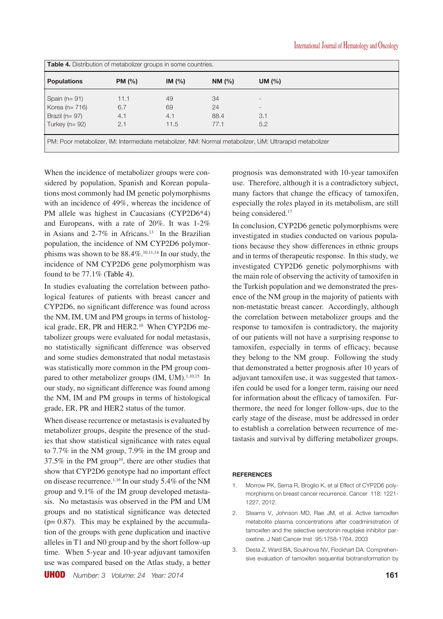| <b>Table 4.</b> Distribution of metabolizer groups in some countries.                                  |        |            |            |                          |  |  |
|--------------------------------------------------------------------------------------------------------|--------|------------|------------|--------------------------|--|--|
| <b>Populations</b>                                                                                     | PM (%) | IM $(\% )$ | NM $(\% )$ | UM $(\%)$                |  |  |
| Spain $(n=91)$                                                                                         | 11.1   | 49         | 34         |                          |  |  |
| Korea ( $n = 716$ )                                                                                    | 6.7    | 69         | 24         | $\overline{\phantom{a}}$ |  |  |
| Brazil ( $n = 97$ )                                                                                    | 4.1    | 4.1        | 88.4       | 3.1                      |  |  |
| Turkey ( $n = 92$ )                                                                                    | 2.1    | 11.5       | 77.1       | 5.2                      |  |  |
| PM: Poor metabolizer, IM: Intermediate metabolizer, NM: Normal metabolizer, UM: Ultrarapid metabolizer |        |            |            |                          |  |  |

When the incidence of metabolizer groups were considered by population, Spanish and Korean populations most commonly had IM genetic polymorphisms with an incidence of 49%, whereas the incidence of PM allele was highest in Caucasians (CYP2D6\*4) and Europeans, with a rate of 20%. It was 1-2% in Asians and  $2-7\%$  in Africans.<sup>13</sup> In the Brazilian population, the incidence of NM CYP2D6 polymorphisms was shown to be  $88.4\%$ <sup>10,11,14</sup> In our study, the incidence of NM CYP2D6 gene polymorphism was found to be 77.1% (Table 4).

In studies evaluating the correlation between pathological features of patients with breast cancer and CYP2D6, no significant difference was found across the NM, IM, UM and PM groups in terms of histological grade, ER, PR and HER2.<sup>10</sup> When CYP2D6 metabolizer groups were evaluated for nodal metastasis, no statistically significant difference was observed and some studies demonstrated that nodal metastasis was statistically more common in the PM group compared to other metabolizer groups (IM, UM).<sup>1,10,15</sup> In our study, no significant difference was found among the NM, IM and PM groups in terms of histological grade, ER, PR and HER2 status of the tumor.

When disease recurrence or metastasis is evaluated by metabolizer groups, despite the presence of the studies that show statistical significance with rates equal to 7.7% in the NM group, 7.9% in the IM group and  $37.5\%$  in the PM group<sup>10</sup>, there are other studies that show that CYP2D6 genotype had no important effect on disease recurrence.<sup>1,16</sup> In our study 5.4% of the NM group and 9.1% of the IM group developed metastasis. No metastasis was observed in the PM and UM groups and no statistical significance was detected  $(p= 0.87)$ . This may be explained by the accumulation of the groups with gene duplication and inactive alleles in T1 and N0 group and by the short follow-up time. When 5-year and 10-year adjuvant tamoxifen use was compared based on the Atlas study, a better prognosis was demonstrated with 10-year tamoxifen use. Therefore, although it is a contradictory subject, many factors that change the efficacy of tamoxifen, especially the roles played in its metabolism, are still being considered.<sup>17</sup>

In conclusion, CYP2D6 genetic polymorphisms were investigated in studies conducted on various populations because they show differences in ethnic groups and in terms of therapeutic response. In this study, we investigated CYP2D6 genetic polymorphisms with the main role of observing the activity of tamoxifen in the Turkish population and we demonstrated the presence of the NM group in the majority of patients with non-metastatic breast cancer. Accordingly, although the correlation between metabolizer groups and the response to tamoxifen is contradictory, the majority of our patients will not have a surprising response to tamoxifen, especially in terms of efficacy, because they belong to the NM group. Following the study that demonstrated a better prognosis after 10 years of adjuvant tamoxifen use, it was suggested that tamoxifen could be used for a longer term, raising our need for information about the efficacy of tamoxifen. Furthermore, the need for longer follow-ups, due to the early stage of the disease, must be addressed in order to establish a correlation between recurrence of metastasis and survival by differing metabolizer groups.

### **REFERENCES**

- 1. Morrow PK, Serna R, Broglio K, et al Effect of CYP2D6 polymorphisms on breast cancer recurrence. Cancer 118: 1221- 1227, 2012.
- 2. Stearns V, Johnson MD, Rae JM, et al. Active tamoxifen metabolite plasma concentrations after coadministration of tamoxifen and the selective serotonin reuptake inhibitor paroxetine. J Natl Cancer Inst 95:1758-1764, 2003
- 3. Desta Z, Ward BA, Soukhova NV, Flockhart DA. Comprehensive evaluation of tamoxifen sequential biotransformation by